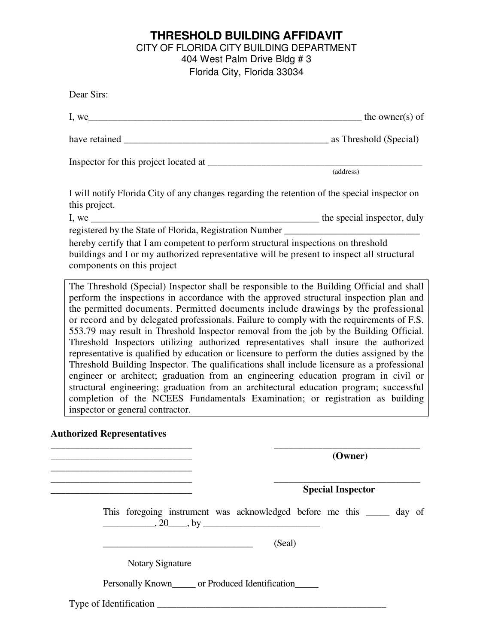### **THRESHOLD BUILDING AFFIDAVIT**  CITY OF FLORIDA CITY BUILDING DEPARTMENT 404 West Palm Drive Bldg # 3 Florida City, Florida 33034

|                                                                                           | $I, we$ the owner(s) of                                                                                                                                                                                                                                                                                                                                                                                                                                                                                                                                                                                                                         |                             |                       |
|-------------------------------------------------------------------------------------------|-------------------------------------------------------------------------------------------------------------------------------------------------------------------------------------------------------------------------------------------------------------------------------------------------------------------------------------------------------------------------------------------------------------------------------------------------------------------------------------------------------------------------------------------------------------------------------------------------------------------------------------------------|-----------------------------|-----------------------|
|                                                                                           |                                                                                                                                                                                                                                                                                                                                                                                                                                                                                                                                                                                                                                                 |                             |                       |
|                                                                                           |                                                                                                                                                                                                                                                                                                                                                                                                                                                                                                                                                                                                                                                 |                             |                       |
|                                                                                           |                                                                                                                                                                                                                                                                                                                                                                                                                                                                                                                                                                                                                                                 |                             | $\frac{1}{(address)}$ |
| this project.                                                                             | I will notify Florida City of any changes regarding the retention of the special inspector on                                                                                                                                                                                                                                                                                                                                                                                                                                                                                                                                                   |                             |                       |
| I, we                                                                                     |                                                                                                                                                                                                                                                                                                                                                                                                                                                                                                                                                                                                                                                 | the special inspector, duly |                       |
|                                                                                           | registered by the State of Florida, Registration Number _________________________                                                                                                                                                                                                                                                                                                                                                                                                                                                                                                                                                               |                             |                       |
| components on this project                                                                | hereby certify that I am competent to perform structural inspections on threshold<br>buildings and I or my authorized representative will be present to inspect all structural                                                                                                                                                                                                                                                                                                                                                                                                                                                                  |                             |                       |
| or record and by delegated professionals. Failure to comply with the requirements of F.S. | perform the inspections in accordance with the approved structural inspection plan and<br>the permitted documents. Permitted documents include drawings by the professional                                                                                                                                                                                                                                                                                                                                                                                                                                                                     |                             |                       |
|                                                                                           | 553.79 may result in Threshold Inspector removal from the job by the Building Official.<br>Threshold Inspectors utilizing authorized representatives shall insure the authorized<br>representative is qualified by education or licensure to perform the duties assigned by the<br>Threshold Building Inspector. The qualifications shall include licensure as a professional<br>engineer or architect; graduation from an engineering education program in civil or<br>structural engineering; graduation from an architectural education program; successful<br>completion of the NCEES Fundamentals Examination; or registration as building |                             |                       |
|                                                                                           |                                                                                                                                                                                                                                                                                                                                                                                                                                                                                                                                                                                                                                                 |                             | (Owner)               |
|                                                                                           |                                                                                                                                                                                                                                                                                                                                                                                                                                                                                                                                                                                                                                                 |                             |                       |
|                                                                                           |                                                                                                                                                                                                                                                                                                                                                                                                                                                                                                                                                                                                                                                 | <b>Special Inspector</b>    |                       |
|                                                                                           | This foregoing instrument was acknowledged before me this ______ day of<br>$\frac{1}{20}$ , 20 by $\frac{1}{20}$                                                                                                                                                                                                                                                                                                                                                                                                                                                                                                                                |                             |                       |
| inspector or general contractor.<br><b>Authorized Representatives</b>                     |                                                                                                                                                                                                                                                                                                                                                                                                                                                                                                                                                                                                                                                 | (Seal)                      |                       |
|                                                                                           | <b>Notary Signature</b>                                                                                                                                                                                                                                                                                                                                                                                                                                                                                                                                                                                                                         |                             |                       |
|                                                                                           | Personally Known______ or Produced Identification______                                                                                                                                                                                                                                                                                                                                                                                                                                                                                                                                                                                         |                             |                       |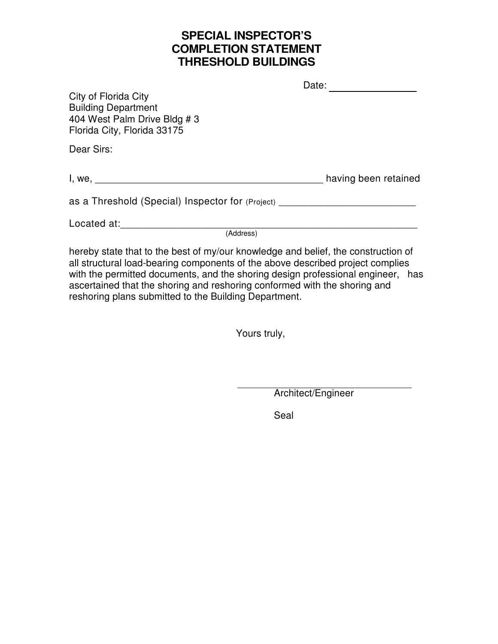## **SPECIAL INSPECTOR'S COMPLETION STATEMENT THRESHOLD BUILDINGS**

|                                                                                                                   | Date:                |
|-------------------------------------------------------------------------------------------------------------------|----------------------|
| City of Florida City<br><b>Building Department</b><br>404 West Palm Drive Bldg # 3<br>Florida City, Florida 33175 |                      |
| Dear Sirs:                                                                                                        |                      |
|                                                                                                                   | having been retained |
| as a Threshold (Special) Inspector for (Project) _______________________________                                  |                      |
| Located at:<br>(Address)                                                                                          |                      |

hereby state that to the best of my/our knowledge and belief, the construction of all structural load-bearing components of the above described project complies with the permitted documents, and the shoring design professional engineer, has ascertained that the shoring and reshoring conformed with the shoring and reshoring plans submitted to the Building Department.

Yours truly,

Architect/Engineer

Seal